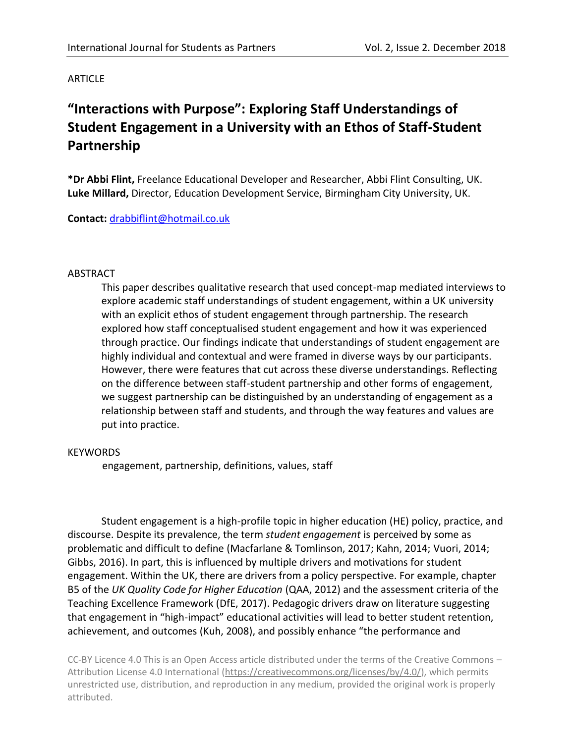### ARTICLE

# **"Interactions with Purpose": Exploring Staff Understandings of Student Engagement in a University with an Ethos of Staff-Student Partnership**

**\*Dr Abbi Flint,** Freelance Educational Developer and Researcher, Abbi Flint Consulting, UK. **Luke Millard,** Director, Education Development Service, Birmingham City University, UK.

### **Contact:** [drabbiflint@hotmail.co.uk](mailto:drabbiflint@hotmail.co.uk)

### ABSTRACT

This paper describes qualitative research that used concept-map mediated interviews to explore academic staff understandings of student engagement, within a UK university with an explicit ethos of student engagement through partnership. The research explored how staff conceptualised student engagement and how it was experienced through practice. Our findings indicate that understandings of student engagement are highly individual and contextual and were framed in diverse ways by our participants. However, there were features that cut across these diverse understandings. Reflecting on the difference between staff-student partnership and other forms of engagement, we suggest partnership can be distinguished by an understanding of engagement as a relationship between staff and students, and through the way features and values are put into practice.

#### **KEYWORDS**

engagement, partnership, definitions, values, staff

Student engagement is a high-profile topic in higher education (HE) policy, practice, and discourse. Despite its prevalence, the term *student engagement* is perceived by some as problematic and difficult to define (Macfarlane & Tomlinson, 2017; Kahn, 2014; Vuori, 2014; Gibbs, 2016). In part, this is influenced by multiple drivers and motivations for student engagement. Within the UK, there are drivers from a policy perspective. For example, chapter B5 of the *UK Quality Code for Higher Education* (QAA, 2012) and the assessment criteria of the Teaching Excellence Framework (DfE, 2017). Pedagogic drivers draw on literature suggesting that engagement in "high-impact" educational activities will lead to better student retention, achievement, and outcomes (Kuh, 2008), and possibly enhance "the performance and

CC-BY Licence 4.0 This is an Open Access article distributed under the terms of the Creative Commons – Attribution License 4.0 International [\(https://creativecommons.org/licenses/by/4.0/\)](https://creativecommons.org/licenses/by/4.0/), which permits unrestricted use, distribution, and reproduction in any medium, provided the original work is properly attributed.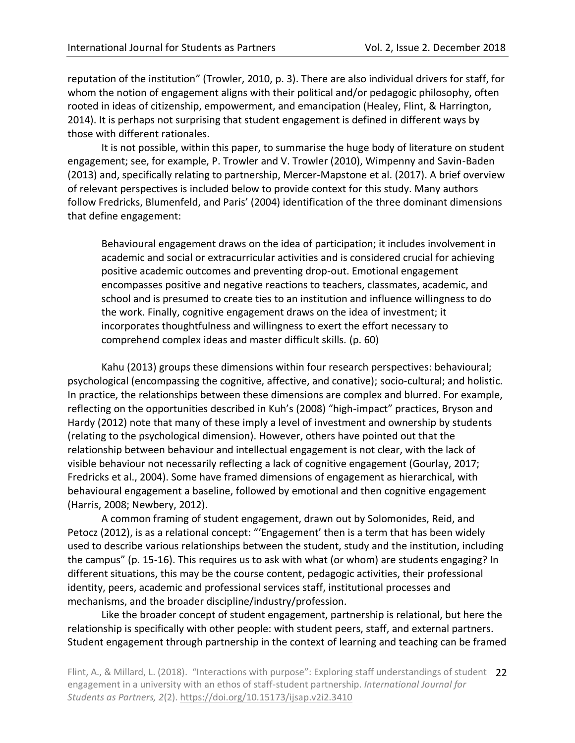reputation of the institution" (Trowler, 2010, p. 3). There are also individual drivers for staff, for whom the notion of engagement aligns with their political and/or pedagogic philosophy, often rooted in ideas of citizenship, empowerment, and emancipation (Healey, Flint, & Harrington, 2014). It is perhaps not surprising that student engagement is defined in different ways by those with different rationales.

It is not possible, within this paper, to summarise the huge body of literature on student engagement; see, for example, P. Trowler and V. Trowler (2010), Wimpenny and Savin-Baden (2013) and, specifically relating to partnership, Mercer-Mapstone et al. (2017). A brief overview of relevant perspectives is included below to provide context for this study. Many authors follow Fredricks, Blumenfeld, and Paris' (2004) identification of the three dominant dimensions that define engagement:

Behavioural engagement draws on the idea of participation; it includes involvement in academic and social or extracurricular activities and is considered crucial for achieving positive academic outcomes and preventing drop-out. Emotional engagement encompasses positive and negative reactions to teachers, classmates, academic, and school and is presumed to create ties to an institution and influence willingness to do the work. Finally, cognitive engagement draws on the idea of investment; it incorporates thoughtfulness and willingness to exert the effort necessary to comprehend complex ideas and master difficult skills*.* (p. 60)

Kahu (2013) groups these dimensions within four research perspectives: behavioural; psychological (encompassing the cognitive, affective, and conative); socio-cultural; and holistic. In practice, the relationships between these dimensions are complex and blurred. For example, reflecting on the opportunities described in Kuh's (2008) "high-impact" practices, Bryson and Hardy (2012) note that many of these imply a level of investment and ownership by students (relating to the psychological dimension). However, others have pointed out that the relationship between behaviour and intellectual engagement is not clear, with the lack of visible behaviour not necessarily reflecting a lack of cognitive engagement (Gourlay, 2017; Fredricks et al., 2004). Some have framed dimensions of engagement as hierarchical, with behavioural engagement a baseline, followed by emotional and then cognitive engagement (Harris, 2008; Newbery, 2012).

A common framing of student engagement, drawn out by Solomonides, Reid, and Petocz (2012), is as a relational concept: "'Engagement' then is a term that has been widely used to describe various relationships between the student, study and the institution, including the campus" (p. 15-16). This requires us to ask with what (or whom) are students engaging? In different situations, this may be the course content, pedagogic activities, their professional identity, peers, academic and professional services staff, institutional processes and mechanisms, and the broader discipline/industry/profession.

Like the broader concept of student engagement, partnership is relational, but here the relationship is specifically with other people: with student peers, staff, and external partners. Student engagement through partnership in the context of learning and teaching can be framed

Flint, A., & Millard, L. (2018). "Interactions with purpose": Exploring staff understandings of student 22 engagement in a university with an ethos of staff-student partnership. *International Journal for Students as Partners, 2*(2).<https://doi.org/10.15173/ijsap.v2i2.3410>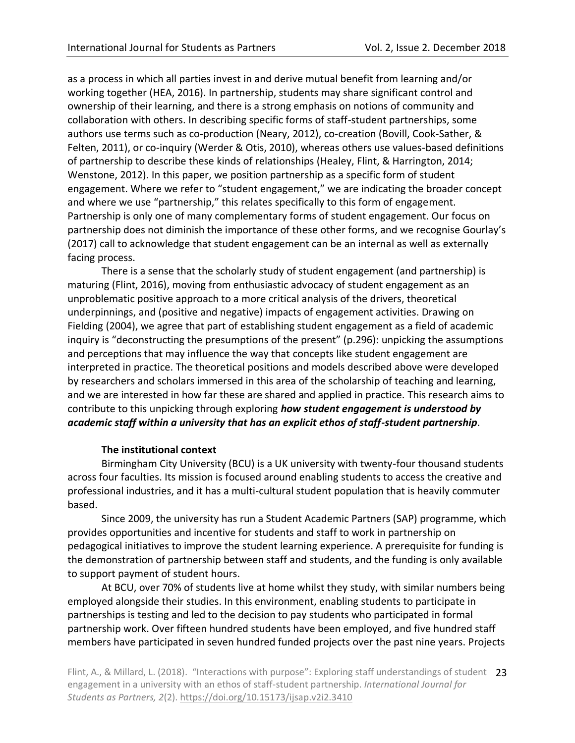as a process in which all parties invest in and derive mutual benefit from learning and/or working together (HEA, 2016). In partnership, students may share significant control and ownership of their learning, and there is a strong emphasis on notions of community and collaboration with others. In describing specific forms of staff-student partnerships, some authors use terms such as co-production (Neary, 2012), co-creation (Bovill, Cook-Sather, & Felten, 2011), or co-inquiry (Werder & Otis, 2010), whereas others use values-based definitions of partnership to describe these kinds of relationships (Healey, Flint, & Harrington, 2014; Wenstone, 2012). In this paper, we position partnership as a specific form of student engagement. Where we refer to "student engagement," we are indicating the broader concept and where we use "partnership," this relates specifically to this form of engagement. Partnership is only one of many complementary forms of student engagement. Our focus on partnership does not diminish the importance of these other forms, and we recognise Gourlay's (2017) call to acknowledge that student engagement can be an internal as well as externally facing process.

There is a sense that the scholarly study of student engagement (and partnership) is maturing (Flint, 2016), moving from enthusiastic advocacy of student engagement as an unproblematic positive approach to a more critical analysis of the drivers, theoretical underpinnings, and (positive and negative) impacts of engagement activities. Drawing on Fielding (2004), we agree that part of establishing student engagement as a field of academic inquiry is "deconstructing the presumptions of the present" (p.296): unpicking the assumptions and perceptions that may influence the way that concepts like student engagement are interpreted in practice. The theoretical positions and models described above were developed by researchers and scholars immersed in this area of the scholarship of teaching and learning, and we are interested in how far these are shared and applied in practice. This research aims to contribute to this unpicking through exploring *how student engagement is understood by academic staff within a university that has an explicit ethos of staff-student partnership*.

### **The institutional context**

Birmingham City University (BCU) is a UK university with twenty-four thousand students across four faculties. Its mission is focused around enabling students to access the creative and professional industries, and it has a multi-cultural student population that is heavily commuter based.

Since 2009, the university has run a Student Academic Partners (SAP) programme, which provides opportunities and incentive for students and staff to work in partnership on pedagogical initiatives to improve the student learning experience. A prerequisite for funding is the demonstration of partnership between staff and students, and the funding is only available to support payment of student hours.

At BCU, over 70% of students live at home whilst they study, with similar numbers being employed alongside their studies. In this environment, enabling students to participate in partnerships is testing and led to the decision to pay students who participated in formal partnership work. Over fifteen hundred students have been employed, and five hundred staff members have participated in seven hundred funded projects over the past nine years. Projects

Flint, A., & Millard, L. (2018). "Interactions with purpose": Exploring staff understandings of student 23 engagement in a university with an ethos of staff-student partnership. *International Journal for Students as Partners, 2*(2).<https://doi.org/10.15173/ijsap.v2i2.3410>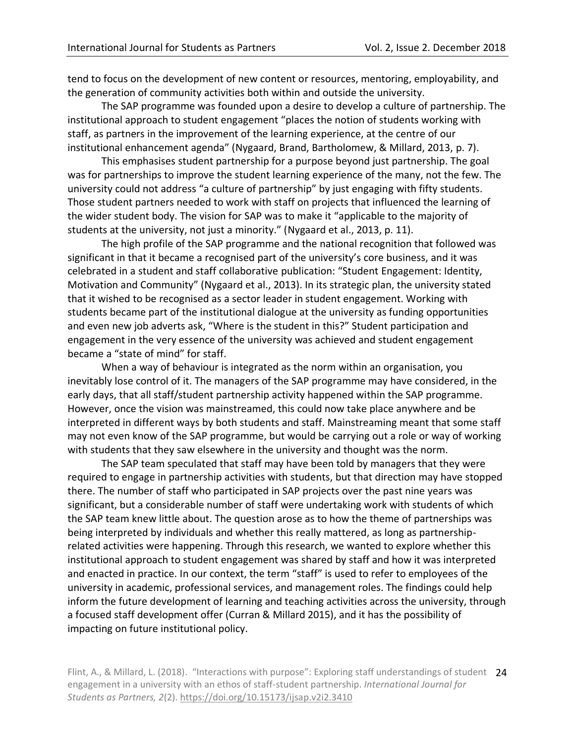tend to focus on the development of new content or resources, mentoring, employability, and the generation of community activities both within and outside the university.

The SAP programme was founded upon a desire to develop a culture of partnership. The institutional approach to student engagement "places the notion of students working with staff, as partners in the improvement of the learning experience, at the centre of our institutional enhancement agenda" (Nygaard, Brand, Bartholomew, & Millard, 2013, p. 7).

This emphasises student partnership for a purpose beyond just partnership. The goal was for partnerships to improve the student learning experience of the many, not the few. The university could not address "a culture of partnership" by just engaging with fifty students. Those student partners needed to work with staff on projects that influenced the learning of the wider student body. The vision for SAP was to make it "applicable to the majority of students at the university, not just a minority." (Nygaard et al., 2013, p. 11).

The high profile of the SAP programme and the national recognition that followed was significant in that it became a recognised part of the university's core business, and it was celebrated in a student and staff collaborative publication: "Student Engagement: Identity, Motivation and Community" (Nygaard et al., 2013). In its strategic plan, the university stated that it wished to be recognised as a sector leader in student engagement. Working with students became part of the institutional dialogue at the university as funding opportunities and even new job adverts ask, "Where is the student in this?" Student participation and engagement in the very essence of the university was achieved and student engagement became a "state of mind" for staff.

When a way of behaviour is integrated as the norm within an organisation, you inevitably lose control of it. The managers of the SAP programme may have considered, in the early days, that all staff/student partnership activity happened within the SAP programme. However, once the vision was mainstreamed, this could now take place anywhere and be interpreted in different ways by both students and staff. Mainstreaming meant that some staff may not even know of the SAP programme, but would be carrying out a role or way of working with students that they saw elsewhere in the university and thought was the norm.

The SAP team speculated that staff may have been told by managers that they were required to engage in partnership activities with students, but that direction may have stopped there. The number of staff who participated in SAP projects over the past nine years was significant, but a considerable number of staff were undertaking work with students of which the SAP team knew little about. The question arose as to how the theme of partnerships was being interpreted by individuals and whether this really mattered, as long as partnershiprelated activities were happening. Through this research, we wanted to explore whether this institutional approach to student engagement was shared by staff and how it was interpreted and enacted in practice. In our context, the term "staff" is used to refer to employees of the university in academic, professional services, and management roles. The findings could help inform the future development of learning and teaching activities across the university, through a focused staff development offer (Curran & Millard 2015), and it has the possibility of impacting on future institutional policy.

Flint, A., & Millard, L. (2018). "Interactions with purpose": Exploring staff understandings of student 24 engagement in a university with an ethos of staff-student partnership. *International Journal for Students as Partners, 2*(2).<https://doi.org/10.15173/ijsap.v2i2.3410>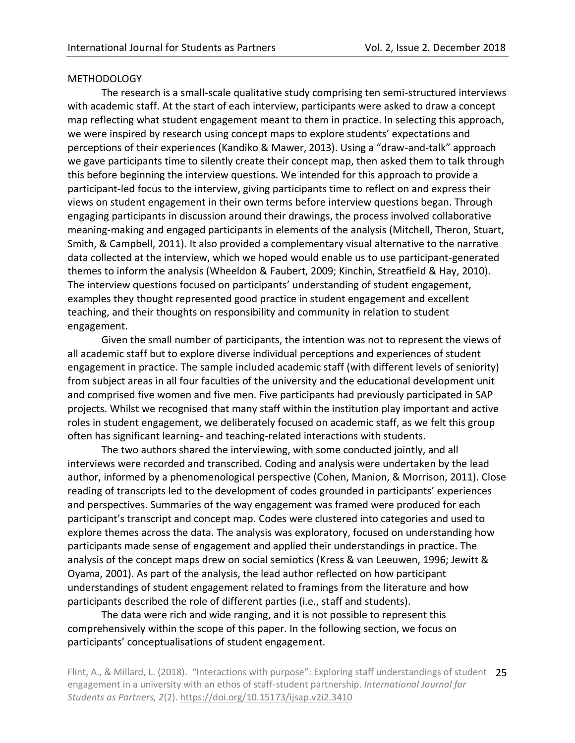### METHODOLOGY

The research is a small-scale qualitative study comprising ten semi-structured interviews with academic staff. At the start of each interview, participants were asked to draw a concept map reflecting what student engagement meant to them in practice. In selecting this approach, we were inspired by research using concept maps to explore students' expectations and perceptions of their experiences (Kandiko & Mawer, 2013). Using a "draw-and-talk" approach we gave participants time to silently create their concept map, then asked them to talk through this before beginning the interview questions. We intended for this approach to provide a participant-led focus to the interview, giving participants time to reflect on and express their views on student engagement in their own terms before interview questions began. Through engaging participants in discussion around their drawings, the process involved collaborative meaning-making and engaged participants in elements of the analysis (Mitchell, Theron, Stuart, Smith, & Campbell, 2011). It also provided a complementary visual alternative to the narrative data collected at the interview, which we hoped would enable us to use participant-generated themes to inform the analysis (Wheeldon & Faubert, 2009; Kinchin, Streatfield & Hay, 2010). The interview questions focused on participants' understanding of student engagement, examples they thought represented good practice in student engagement and excellent teaching, and their thoughts on responsibility and community in relation to student engagement.

Given the small number of participants, the intention was not to represent the views of all academic staff but to explore diverse individual perceptions and experiences of student engagement in practice. The sample included academic staff (with different levels of seniority) from subject areas in all four faculties of the university and the educational development unit and comprised five women and five men. Five participants had previously participated in SAP projects. Whilst we recognised that many staff within the institution play important and active roles in student engagement, we deliberately focused on academic staff, as we felt this group often has significant learning- and teaching-related interactions with students.

The two authors shared the interviewing, with some conducted jointly, and all interviews were recorded and transcribed. Coding and analysis were undertaken by the lead author, informed by a phenomenological perspective (Cohen, Manion, & Morrison, 2011). Close reading of transcripts led to the development of codes grounded in participants' experiences and perspectives. Summaries of the way engagement was framed were produced for each participant's transcript and concept map. Codes were clustered into categories and used to explore themes across the data. The analysis was exploratory, focused on understanding how participants made sense of engagement and applied their understandings in practice. The analysis of the concept maps drew on social semiotics (Kress & van Leeuwen, 1996; Jewitt & Oyama, 2001). As part of the analysis, the lead author reflected on how participant understandings of student engagement related to framings from the literature and how participants described the role of different parties (i.e., staff and students).

The data were rich and wide ranging, and it is not possible to represent this comprehensively within the scope of this paper. In the following section, we focus on participants' conceptualisations of student engagement.

Flint, A., & Millard, L. (2018). "Interactions with purpose": Exploring staff understandings of student 25 engagement in a university with an ethos of staff-student partnership. *International Journal for Students as Partners, 2*(2).<https://doi.org/10.15173/ijsap.v2i2.3410>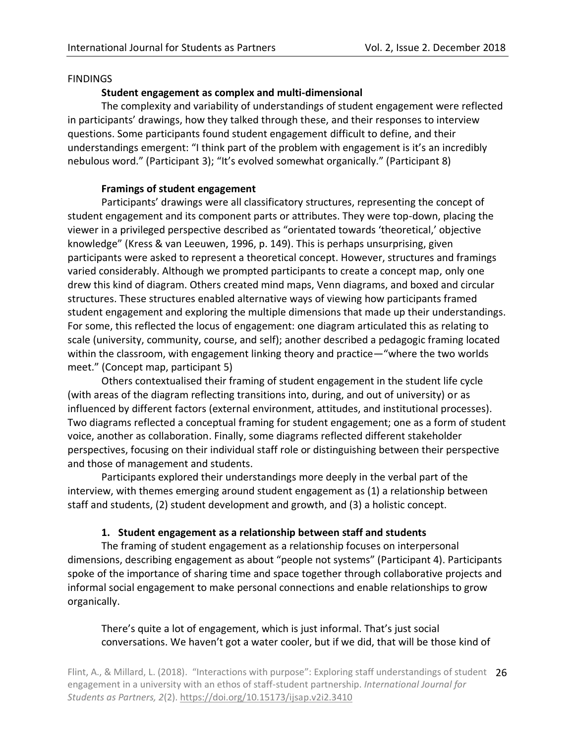### **FINDINGS**

## **Student engagement as complex and multi-dimensional**

The complexity and variability of understandings of student engagement were reflected in participants' drawings, how they talked through these, and their responses to interview questions. Some participants found student engagement difficult to define, and their understandings emergent: "I think part of the problem with engagement is it's an incredibly nebulous word." (Participant 3); "It's evolved somewhat organically." (Participant 8)

## **Framings of student engagement**

Participants' drawings were all classificatory structures, representing the concept of student engagement and its component parts or attributes. They were top-down, placing the viewer in a privileged perspective described as "orientated towards 'theoretical,' objective knowledge" (Kress & van Leeuwen, 1996, p. 149). This is perhaps unsurprising, given participants were asked to represent a theoretical concept. However, structures and framings varied considerably. Although we prompted participants to create a concept map, only one drew this kind of diagram. Others created mind maps, Venn diagrams, and boxed and circular structures. These structures enabled alternative ways of viewing how participants framed student engagement and exploring the multiple dimensions that made up their understandings. For some, this reflected the locus of engagement: one diagram articulated this as relating to scale (university, community, course, and self); another described a pedagogic framing located within the classroom, with engagement linking theory and practice—"where the two worlds meet." (Concept map, participant 5)

Others contextualised their framing of student engagement in the student life cycle (with areas of the diagram reflecting transitions into, during, and out of university) or as influenced by different factors (external environment, attitudes, and institutional processes). Two diagrams reflected a conceptual framing for student engagement; one as a form of student voice, another as collaboration. Finally, some diagrams reflected different stakeholder perspectives, focusing on their individual staff role or distinguishing between their perspective and those of management and students.

Participants explored their understandings more deeply in the verbal part of the interview, with themes emerging around student engagement as (1) a relationship between staff and students, (2) student development and growth, and (3) a holistic concept.

# **1. Student engagement as a relationship between staff and students**

The framing of student engagement as a relationship focuses on interpersonal dimensions, describing engagement as about "people not systems" (Participant 4). Participants spoke of the importance of sharing time and space together through collaborative projects and informal social engagement to make personal connections and enable relationships to grow organically.

# There's quite a lot of engagement, which is just informal. That's just social conversations. We haven't got a water cooler, but if we did, that will be those kind of

Flint, A., & Millard, L. (2018). "Interactions with purpose": Exploring staff understandings of student 26 engagement in a university with an ethos of staff-student partnership. *International Journal for Students as Partners, 2*(2).<https://doi.org/10.15173/ijsap.v2i2.3410>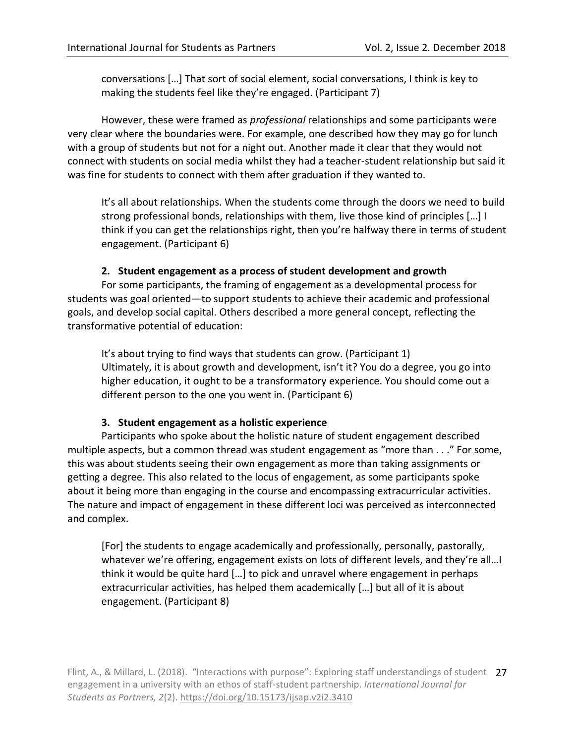conversations […] That sort of social element, social conversations, I think is key to making the students feel like they're engaged. (Participant 7)

However, these were framed as *professional* relationships and some participants were very clear where the boundaries were. For example, one described how they may go for lunch with a group of students but not for a night out. Another made it clear that they would not connect with students on social media whilst they had a teacher-student relationship but said it was fine for students to connect with them after graduation if they wanted to.

It's all about relationships. When the students come through the doors we need to build strong professional bonds, relationships with them, live those kind of principles […] I think if you can get the relationships right, then you're halfway there in terms of student engagement. (Participant 6)

### **2. Student engagement as a process of student development and growth**

For some participants, the framing of engagement as a developmental process for students was goal oriented—to support students to achieve their academic and professional goals, and develop social capital. Others described a more general concept, reflecting the transformative potential of education:

It's about trying to find ways that students can grow. (Participant 1) Ultimately, it is about growth and development, isn't it? You do a degree, you go into higher education, it ought to be a transformatory experience. You should come out a different person to the one you went in. (Participant 6)

### **3. Student engagement as a holistic experience**

Participants who spoke about the holistic nature of student engagement described multiple aspects, but a common thread was student engagement as "more than . . ." For some, this was about students seeing their own engagement as more than taking assignments or getting a degree. This also related to the locus of engagement, as some participants spoke about it being more than engaging in the course and encompassing extracurricular activities. The nature and impact of engagement in these different loci was perceived as interconnected and complex.

[For] the students to engage academically and professionally, personally, pastorally, whatever we're offering, engagement exists on lots of different levels, and they're all…I think it would be quite hard […] to pick and unravel where engagement in perhaps extracurricular activities, has helped them academically […] but all of it is about engagement. (Participant 8)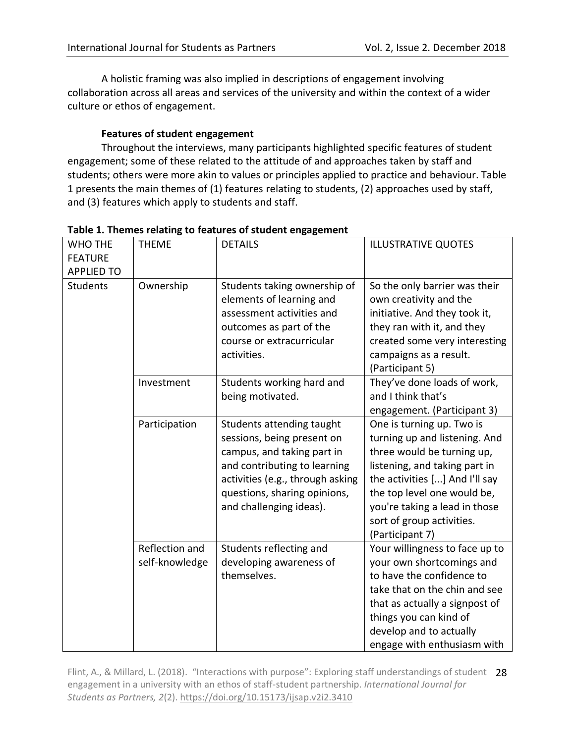A holistic framing was also implied in descriptions of engagement involving collaboration across all areas and services of the university and within the context of a wider culture or ethos of engagement.

# **Features of student engagement**

Throughout the interviews, many participants highlighted specific features of student engagement; some of these related to the attitude of and approaches taken by staff and students; others were more akin to values or principles applied to practice and behaviour. Table 1 presents the main themes of (1) features relating to students, (2) approaches used by staff, and (3) features which apply to students and staff.

| WHO THE<br><b>FEATURE</b><br><b>APPLIED TO</b> | <b>THEME</b>                     | <b>DETAILS</b>                                                                                                                                                                                                       | <b>ILLUSTRATIVE QUOTES</b>                                                                                                                                                                                                                                                  |
|------------------------------------------------|----------------------------------|----------------------------------------------------------------------------------------------------------------------------------------------------------------------------------------------------------------------|-----------------------------------------------------------------------------------------------------------------------------------------------------------------------------------------------------------------------------------------------------------------------------|
| <b>Students</b>                                | Ownership                        | Students taking ownership of<br>elements of learning and<br>assessment activities and<br>outcomes as part of the<br>course or extracurricular<br>activities.                                                         | So the only barrier was their<br>own creativity and the<br>initiative. And they took it,<br>they ran with it, and they<br>created some very interesting<br>campaigns as a result.<br>(Participant 5)                                                                        |
|                                                | Investment                       | Students working hard and<br>being motivated.                                                                                                                                                                        | They've done loads of work,<br>and I think that's<br>engagement. (Participant 3)                                                                                                                                                                                            |
|                                                | Participation                    | Students attending taught<br>sessions, being present on<br>campus, and taking part in<br>and contributing to learning<br>activities (e.g., through asking<br>questions, sharing opinions,<br>and challenging ideas). | One is turning up. Two is<br>turning up and listening. And<br>three would be turning up,<br>listening, and taking part in<br>the activities [] And I'll say<br>the top level one would be,<br>you're taking a lead in those<br>sort of group activities.<br>(Participant 7) |
|                                                | Reflection and<br>self-knowledge | Students reflecting and<br>developing awareness of<br>themselves.                                                                                                                                                    | Your willingness to face up to<br>your own shortcomings and<br>to have the confidence to<br>take that on the chin and see<br>that as actually a signpost of<br>things you can kind of<br>develop and to actually<br>engage with enthusiasm with                             |

**Table 1. Themes relating to features of student engagement** 

Flint, A., & Millard, L. (2018). "Interactions with purpose": Exploring staff understandings of student 28 engagement in a university with an ethos of staff-student partnership. *International Journal for Students as Partners, 2*(2).<https://doi.org/10.15173/ijsap.v2i2.3410>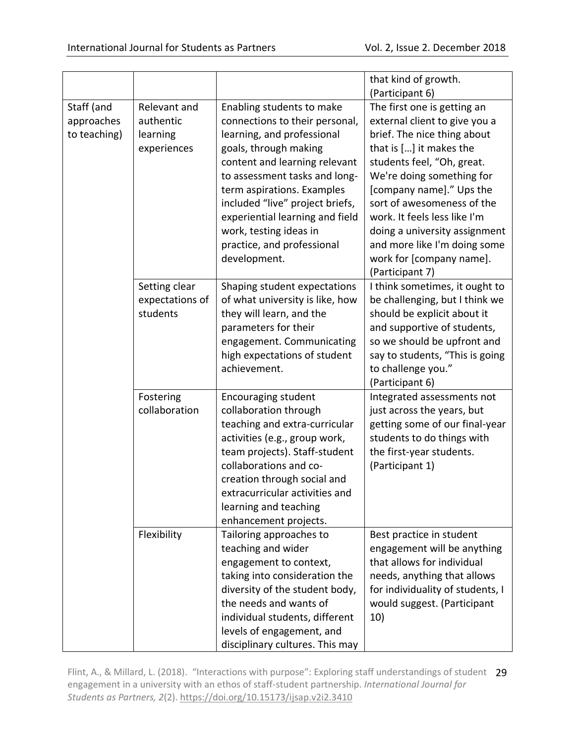|                                          |                                                      |                                                                                                                                                                                                                                                                                                                                                                  | that kind of growth.                                                                                                                                                                                                                                                                                                                                                                        |
|------------------------------------------|------------------------------------------------------|------------------------------------------------------------------------------------------------------------------------------------------------------------------------------------------------------------------------------------------------------------------------------------------------------------------------------------------------------------------|---------------------------------------------------------------------------------------------------------------------------------------------------------------------------------------------------------------------------------------------------------------------------------------------------------------------------------------------------------------------------------------------|
|                                          |                                                      |                                                                                                                                                                                                                                                                                                                                                                  | (Participant 6)                                                                                                                                                                                                                                                                                                                                                                             |
| Staff (and<br>approaches<br>to teaching) | Relevant and<br>authentic<br>learning<br>experiences | Enabling students to make<br>connections to their personal,<br>learning, and professional<br>goals, through making<br>content and learning relevant<br>to assessment tasks and long-<br>term aspirations. Examples<br>included "live" project briefs,<br>experiential learning and field<br>work, testing ideas in<br>practice, and professional<br>development. | The first one is getting an<br>external client to give you a<br>brief. The nice thing about<br>that is [] it makes the<br>students feel, "Oh, great.<br>We're doing something for<br>[company name]." Ups the<br>sort of awesomeness of the<br>work. It feels less like I'm<br>doing a university assignment<br>and more like I'm doing some<br>work for [company name].<br>(Participant 7) |
|                                          | Setting clear<br>expectations of<br>students         | Shaping student expectations<br>of what university is like, how<br>they will learn, and the<br>parameters for their<br>engagement. Communicating<br>high expectations of student<br>achievement.                                                                                                                                                                 | I think sometimes, it ought to<br>be challenging, but I think we<br>should be explicit about it<br>and supportive of students,<br>so we should be upfront and<br>say to students, "This is going<br>to challenge you."<br>(Participant 6)                                                                                                                                                   |
|                                          | Fostering<br>collaboration                           | <b>Encouraging student</b><br>collaboration through<br>teaching and extra-curricular<br>activities (e.g., group work,<br>team projects). Staff-student<br>collaborations and co-<br>creation through social and<br>extracurricular activities and<br>learning and teaching<br>enhancement projects.                                                              | Integrated assessments not<br>just across the years, but<br>getting some of our final-year<br>students to do things with<br>the first-year students.<br>(Participant 1)                                                                                                                                                                                                                     |
|                                          | Flexibility                                          | Tailoring approaches to<br>teaching and wider<br>engagement to context,<br>taking into consideration the<br>diversity of the student body,<br>the needs and wants of<br>individual students, different<br>levels of engagement, and<br>disciplinary cultures. This may                                                                                           | Best practice in student<br>engagement will be anything<br>that allows for individual<br>needs, anything that allows<br>for individuality of students, I<br>would suggest. (Participant<br>10)                                                                                                                                                                                              |

Flint, A., & Millard, L. (2018). "Interactions with purpose": Exploring staff understandings of student 29 engagement in a university with an ethos of staff-student partnership. *International Journal for Students as Partners, 2*(2).<https://doi.org/10.15173/ijsap.v2i2.3410>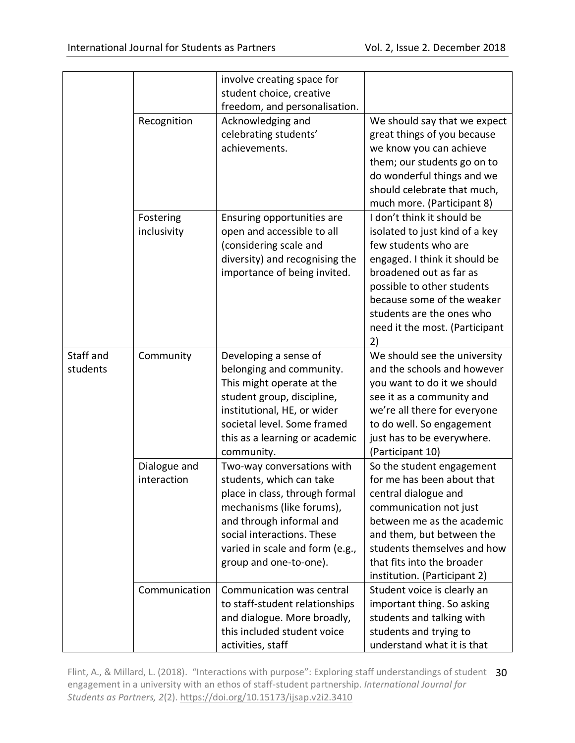|                       |                             | involve creating space for                                                                                                                                                                                                                   |                                                                                                                                                                                                                                                                                   |
|-----------------------|-----------------------------|----------------------------------------------------------------------------------------------------------------------------------------------------------------------------------------------------------------------------------------------|-----------------------------------------------------------------------------------------------------------------------------------------------------------------------------------------------------------------------------------------------------------------------------------|
|                       |                             | student choice, creative                                                                                                                                                                                                                     |                                                                                                                                                                                                                                                                                   |
|                       |                             | freedom, and personalisation.                                                                                                                                                                                                                |                                                                                                                                                                                                                                                                                   |
|                       | Recognition                 | Acknowledging and<br>celebrating students'<br>achievements.                                                                                                                                                                                  | We should say that we expect<br>great things of you because<br>we know you can achieve<br>them; our students go on to<br>do wonderful things and we<br>should celebrate that much,<br>much more. (Participant 8)                                                                  |
|                       | Fostering<br>inclusivity    | Ensuring opportunities are<br>open and accessible to all<br>(considering scale and<br>diversity) and recognising the<br>importance of being invited.                                                                                         | I don't think it should be<br>isolated to just kind of a key<br>few students who are<br>engaged. I think it should be<br>broadened out as far as<br>possible to other students<br>because some of the weaker<br>students are the ones who<br>need it the most. (Participant<br>2) |
| Staff and<br>students | Community                   | Developing a sense of<br>belonging and community.<br>This might operate at the<br>student group, discipline,<br>institutional, HE, or wider<br>societal level. Some framed<br>this as a learning or academic<br>community.                   | We should see the university<br>and the schools and however<br>you want to do it we should<br>see it as a community and<br>we're all there for everyone<br>to do well. So engagement<br>just has to be everywhere.<br>(Participant 10)                                            |
|                       | Dialogue and<br>interaction | Two-way conversations with<br>students, which can take<br>place in class, through formal<br>mechanisms (like forums),<br>and through informal and<br>social interactions. These<br>varied in scale and form (e.g.,<br>group and one-to-one). | So the student engagement<br>for me has been about that<br>central dialogue and<br>communication not just<br>between me as the academic<br>and them, but between the<br>students themselves and how<br>that fits into the broader<br>institution. (Participant 2)                 |
|                       | Communication               | Communication was central<br>to staff-student relationships<br>and dialogue. More broadly,<br>this included student voice<br>activities, staff                                                                                               | Student voice is clearly an<br>important thing. So asking<br>students and talking with<br>students and trying to<br>understand what it is that                                                                                                                                    |

Flint, A., & Millard, L. (2018). "Interactions with purpose": Exploring staff understandings of student 30 engagement in a university with an ethos of staff-student partnership. *International Journal for Students as Partners, 2*(2).<https://doi.org/10.15173/ijsap.v2i2.3410>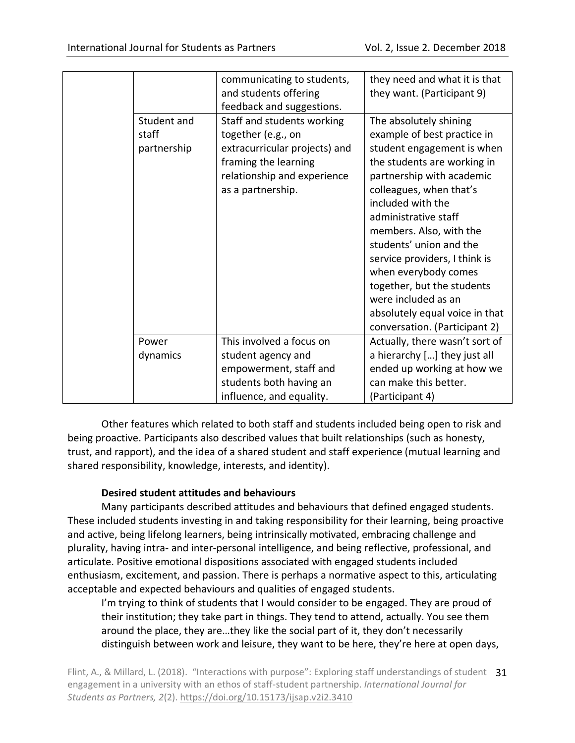|  |                                     | communicating to students,<br>and students offering<br>feedback and suggestions.                                                                              | they need and what it is that<br>they want. (Participant 9)                                                                                                                                                                                                                                                                                                                                                                                                    |
|--|-------------------------------------|---------------------------------------------------------------------------------------------------------------------------------------------------------------|----------------------------------------------------------------------------------------------------------------------------------------------------------------------------------------------------------------------------------------------------------------------------------------------------------------------------------------------------------------------------------------------------------------------------------------------------------------|
|  | Student and<br>staff<br>partnership | Staff and students working<br>together (e.g., on<br>extracurricular projects) and<br>framing the learning<br>relationship and experience<br>as a partnership. | The absolutely shining<br>example of best practice in<br>student engagement is when<br>the students are working in<br>partnership with academic<br>colleagues, when that's<br>included with the<br>administrative staff<br>members. Also, with the<br>students' union and the<br>service providers, I think is<br>when everybody comes<br>together, but the students<br>were included as an<br>absolutely equal voice in that<br>conversation. (Participant 2) |
|  | Power                               | This involved a focus on                                                                                                                                      | Actually, there wasn't sort of                                                                                                                                                                                                                                                                                                                                                                                                                                 |
|  | dynamics                            | student agency and                                                                                                                                            | a hierarchy [] they just all                                                                                                                                                                                                                                                                                                                                                                                                                                   |
|  |                                     | empowerment, staff and                                                                                                                                        | ended up working at how we                                                                                                                                                                                                                                                                                                                                                                                                                                     |
|  |                                     | students both having an                                                                                                                                       | can make this better.                                                                                                                                                                                                                                                                                                                                                                                                                                          |
|  |                                     | influence, and equality.                                                                                                                                      | (Participant 4)                                                                                                                                                                                                                                                                                                                                                                                                                                                |

Other features which related to both staff and students included being open to risk and being proactive. Participants also described values that built relationships (such as honesty, trust, and rapport), and the idea of a shared student and staff experience (mutual learning and shared responsibility, knowledge, interests, and identity).

# **Desired student attitudes and behaviours**

Many participants described attitudes and behaviours that defined engaged students. These included students investing in and taking responsibility for their learning, being proactive and active, being lifelong learners, being intrinsically motivated, embracing challenge and plurality, having intra- and inter-personal intelligence, and being reflective, professional, and articulate. Positive emotional dispositions associated with engaged students included enthusiasm, excitement, and passion. There is perhaps a normative aspect to this, articulating acceptable and expected behaviours and qualities of engaged students.

I'm trying to think of students that I would consider to be engaged. They are proud of their institution; they take part in things. They tend to attend, actually. You see them around the place, they are…they like the social part of it, they don't necessarily distinguish between work and leisure, they want to be here, they're here at open days,

Flint, A., & Millard, L. (2018). "Interactions with purpose": Exploring staff understandings of student 31 engagement in a university with an ethos of staff-student partnership. *International Journal for Students as Partners, 2*(2).<https://doi.org/10.15173/ijsap.v2i2.3410>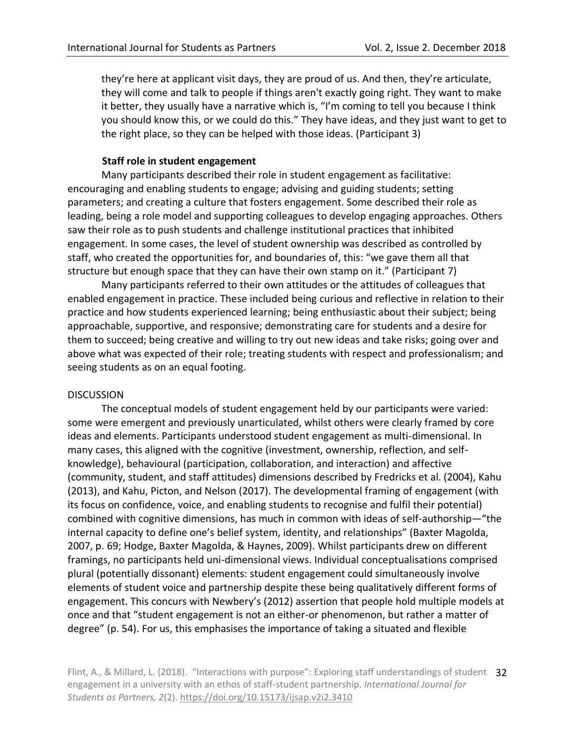they're here at applicant visit days, they are proud of us. And then, they're articulate, they will come and talk to people if things aren't exactly going right. They want to make it better, they usually have a narrative which is, "I'm coming to tell you because I think you should know this, or we could do this." They have ideas, and they just want to get to the right place, so they can be helped with those ideas. (Participant 3)

### **Staff role in student engagement**

Many participants described their role in student engagement as facilitative: encouraging and enabling students to engage; advising and guiding students; setting parameters; and creating a culture that fosters engagement. Some described their role as leading, being a role model and supporting colleagues to develop engaging approaches. Others saw their role as to push students and challenge institutional practices that inhibited engagement. In some cases, the level of student ownership was described as controlled by staff, who created the opportunities for, and boundaries of, this: "we gave them all that structure but enough space that they can have their own stamp on it." (Participant 7)

Many participants referred to their own attitudes or the attitudes of colleagues that enabled engagement in practice. These included being curious and reflective in relation to their practice and how students experienced learning; being enthusiastic about their subject; being approachable, supportive, and responsive; demonstrating care for students and a desire for them to succeed; being creative and willing to try out new ideas and take risks; going over and above what was expected of their role; treating students with respect and professionalism; and seeing students as on an equal footing.

### DISCUSSION

The conceptual models of student engagement held by our participants were varied: some were emergent and previously unarticulated, whilst others were clearly framed by core ideas and elements. Participants understood student engagement as multi-dimensional. In many cases, this aligned with the cognitive (investment, ownership, reflection, and selfknowledge), behavioural (participation, collaboration, and interaction) and affective (community, student, and staff attitudes) dimensions described by Fredricks et al. (2004), Kahu (2013), and Kahu, Picton, and Nelson (2017). The developmental framing of engagement (with its focus on confidence, voice, and enabling students to recognise and fulfil their potential) combined with cognitive dimensions, has much in common with ideas of self-authorship—"the internal capacity to define one's belief system, identity, and relationships" (Baxter Magolda, 2007, p. 69; Hodge, Baxter Magolda, & Haynes, 2009). Whilst participants drew on different framings, no participants held uni-dimensional views. Individual conceptualisations comprised plural (potentially dissonant) elements: student engagement could simultaneously involve elements of student voice and partnership despite these being qualitatively different forms of engagement. This concurs with Newbery's (2012) assertion that people hold multiple models at once and that "student engagement is not an either-or phenomenon, but rather a matter of degree" (p. 54). For us, this emphasises the importance of taking a situated and flexible

Flint, A., & Millard, L. (2018). "Interactions with purpose": Exploring staff understandings of student 32 engagement in a university with an ethos of staff-student partnership. *International Journal for Students as Partners, 2*(2).<https://doi.org/10.15173/ijsap.v2i2.3410>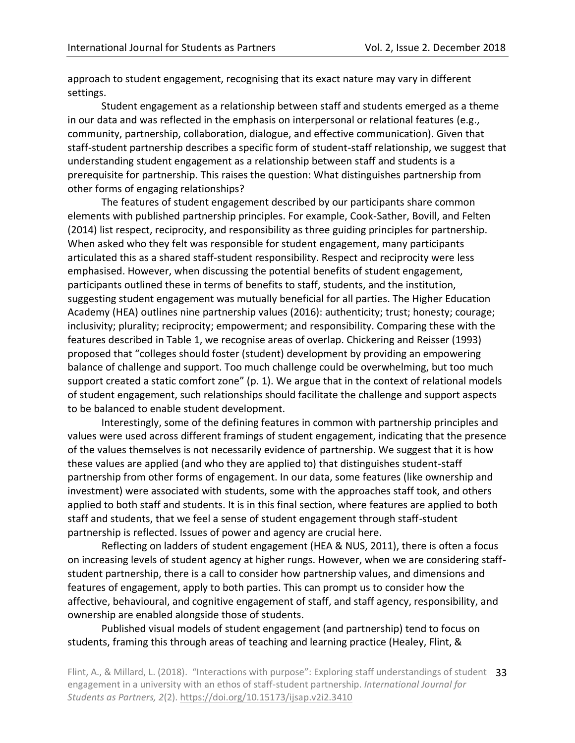approach to student engagement, recognising that its exact nature may vary in different settings.

Student engagement as a relationship between staff and students emerged as a theme in our data and was reflected in the emphasis on interpersonal or relational features (e.g., community, partnership, collaboration, dialogue, and effective communication). Given that staff-student partnership describes a specific form of student-staff relationship, we suggest that understanding student engagement as a relationship between staff and students is a prerequisite for partnership. This raises the question: What distinguishes partnership from other forms of engaging relationships?

The features of student engagement described by our participants share common elements with published partnership principles. For example, Cook-Sather, Bovill, and Felten (2014) list respect, reciprocity, and responsibility as three guiding principles for partnership. When asked who they felt was responsible for student engagement, many participants articulated this as a shared staff-student responsibility. Respect and reciprocity were less emphasised. However, when discussing the potential benefits of student engagement, participants outlined these in terms of benefits to staff, students, and the institution, suggesting student engagement was mutually beneficial for all parties. The Higher Education Academy (HEA) outlines nine partnership values (2016): authenticity; trust; honesty; courage; inclusivity; plurality; reciprocity; empowerment; and responsibility. Comparing these with the features described in Table 1, we recognise areas of overlap. Chickering and Reisser (1993) proposed that "colleges should foster (student) development by providing an empowering balance of challenge and support. Too much challenge could be overwhelming, but too much support created a static comfort zone" (p. 1). We argue that in the context of relational models of student engagement, such relationships should facilitate the challenge and support aspects to be balanced to enable student development.

Interestingly, some of the defining features in common with partnership principles and values were used across different framings of student engagement, indicating that the presence of the values themselves is not necessarily evidence of partnership. We suggest that it is how these values are applied (and who they are applied to) that distinguishes student-staff partnership from other forms of engagement. In our data, some features (like ownership and investment) were associated with students, some with the approaches staff took, and others applied to both staff and students. It is in this final section, where features are applied to both staff and students, that we feel a sense of student engagement through staff-student partnership is reflected. Issues of power and agency are crucial here.

Reflecting on ladders of student engagement (HEA & NUS, 2011), there is often a focus on increasing levels of student agency at higher rungs. However, when we are considering staffstudent partnership, there is a call to consider how partnership values, and dimensions and features of engagement, apply to both parties. This can prompt us to consider how the affective, behavioural, and cognitive engagement of staff, and staff agency, responsibility, and ownership are enabled alongside those of students.

Published visual models of student engagement (and partnership) tend to focus on students, framing this through areas of teaching and learning practice (Healey, Flint, &

Flint, A., & Millard, L. (2018). "Interactions with purpose": Exploring staff understandings of student 33 engagement in a university with an ethos of staff-student partnership. *International Journal for Students as Partners, 2*(2).<https://doi.org/10.15173/ijsap.v2i2.3410>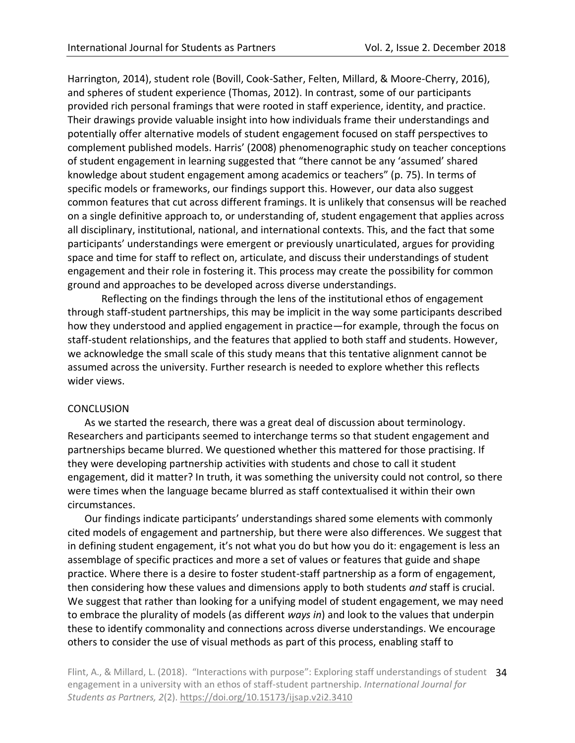Harrington, 2014), student role (Bovill, Cook-Sather, Felten, Millard, & Moore-Cherry, 2016), and spheres of student experience (Thomas, 2012). In contrast, some of our participants provided rich personal framings that were rooted in staff experience, identity, and practice. Their drawings provide valuable insight into how individuals frame their understandings and potentially offer alternative models of student engagement focused on staff perspectives to complement published models. Harris' (2008) phenomenographic study on teacher conceptions of student engagement in learning suggested that "there cannot be any 'assumed' shared knowledge about student engagement among academics or teachers" (p. 75). In terms of specific models or frameworks, our findings support this. However, our data also suggest common features that cut across different framings. It is unlikely that consensus will be reached on a single definitive approach to, or understanding of, student engagement that applies across all disciplinary, institutional, national, and international contexts. This, and the fact that some participants' understandings were emergent or previously unarticulated, argues for providing space and time for staff to reflect on, articulate, and discuss their understandings of student engagement and their role in fostering it. This process may create the possibility for common ground and approaches to be developed across diverse understandings.

Reflecting on the findings through the lens of the institutional ethos of engagement through staff-student partnerships, this may be implicit in the way some participants described how they understood and applied engagement in practice—for example, through the focus on staff-student relationships, and the features that applied to both staff and students. However, we acknowledge the small scale of this study means that this tentative alignment cannot be assumed across the university. Further research is needed to explore whether this reflects wider views.

### **CONCLUSION**

As we started the research, there was a great deal of discussion about terminology. Researchers and participants seemed to interchange terms so that student engagement and partnerships became blurred. We questioned whether this mattered for those practising. If they were developing partnership activities with students and chose to call it student engagement, did it matter? In truth, it was something the university could not control, so there were times when the language became blurred as staff contextualised it within their own circumstances.

Our findings indicate participants' understandings shared some elements with commonly cited models of engagement and partnership, but there were also differences. We suggest that in defining student engagement, it's not what you do but how you do it: engagement is less an assemblage of specific practices and more a set of values or features that guide and shape practice. Where there is a desire to foster student-staff partnership as a form of engagement, then considering how these values and dimensions apply to both students *and* staff is crucial. We suggest that rather than looking for a unifying model of student engagement, we may need to embrace the plurality of models (as different *ways in*) and look to the values that underpin these to identify commonality and connections across diverse understandings. We encourage others to consider the use of visual methods as part of this process, enabling staff to

Flint, A., & Millard, L. (2018). "Interactions with purpose": Exploring staff understandings of student 34 engagement in a university with an ethos of staff-student partnership. *International Journal for Students as Partners, 2*(2).<https://doi.org/10.15173/ijsap.v2i2.3410>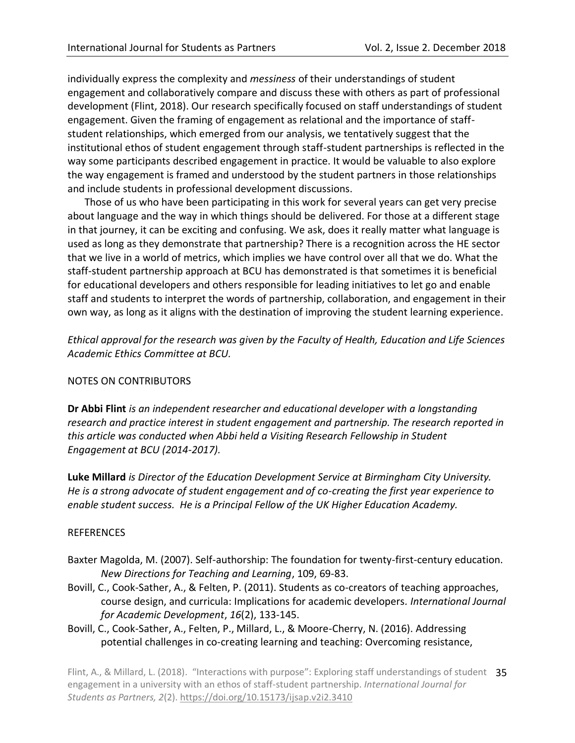individually express the complexity and *messiness* of their understandings of student engagement and collaboratively compare and discuss these with others as part of professional development (Flint, 2018). Our research specifically focused on staff understandings of student engagement. Given the framing of engagement as relational and the importance of staffstudent relationships, which emerged from our analysis, we tentatively suggest that the institutional ethos of student engagement through staff-student partnerships is reflected in the way some participants described engagement in practice. It would be valuable to also explore the way engagement is framed and understood by the student partners in those relationships and include students in professional development discussions.

Those of us who have been participating in this work for several years can get very precise about language and the way in which things should be delivered. For those at a different stage in that journey, it can be exciting and confusing. We ask, does it really matter what language is used as long as they demonstrate that partnership? There is a recognition across the HE sector that we live in a world of metrics, which implies we have control over all that we do. What the staff-student partnership approach at BCU has demonstrated is that sometimes it is beneficial for educational developers and others responsible for leading initiatives to let go and enable staff and students to interpret the words of partnership, collaboration, and engagement in their own way, as long as it aligns with the destination of improving the student learning experience.

*Ethical approval for the research was given by the Faculty of Health, Education and Life Sciences Academic Ethics Committee at BCU.* 

# NOTES ON CONTRIBUTORS

**Dr Abbi Flint** *is an independent researcher and educational developer with a longstanding research and practice interest in student engagement and partnership. The research reported in this article was conducted when Abbi held a Visiting Research Fellowship in Student Engagement at BCU (2014-2017).*

**Luke Millard** *is Director of the Education Development Service at Birmingham City University. He is a strong advocate of student engagement and of co-creating the first year experience to enable student success. He is a Principal Fellow of the UK Higher Education Academy.* 

### REFERENCES

- Baxter Magolda, M. (2007). Self-authorship: The foundation for twenty-first-century education. *New Directions for Teaching and Learning*, 109, 69-83.
- Bovill, C., Cook-Sather, A., & Felten, P. (2011). Students as co-creators of teaching approaches, course design, and curricula: Implications for academic developers*. International Journal for Academic Development*, *16*(2), 133-145.
- Bovill, C., Cook-Sather, A., Felten, P., Millard, L., & Moore-Cherry, N. (2016). Addressing potential challenges in co-creating learning and teaching: Overcoming resistance,

Flint, A., & Millard, L. (2018). "Interactions with purpose": Exploring staff understandings of student 35 engagement in a university with an ethos of staff-student partnership. *International Journal for Students as Partners, 2*(2).<https://doi.org/10.15173/ijsap.v2i2.3410>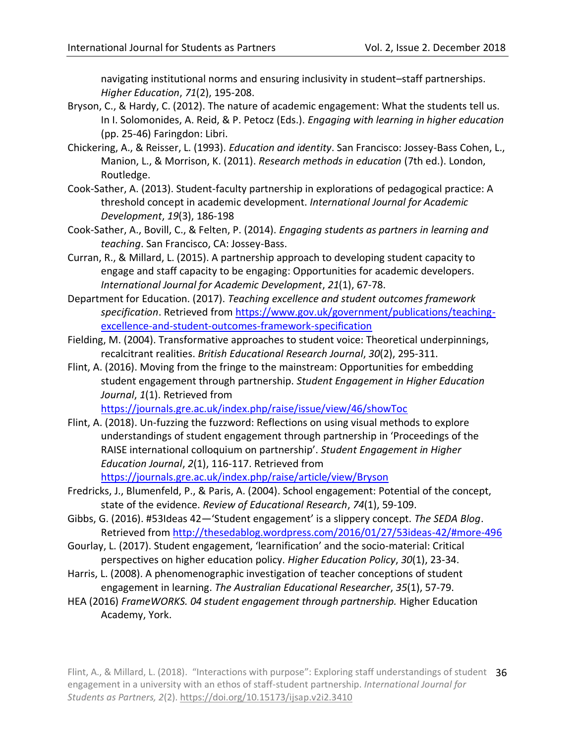navigating institutional norms and ensuring inclusivity in student–staff partnerships. *Higher Education*, *71*(2), 195-208.

- Bryson, C., & Hardy, C. (2012). The nature of academic engagement: What the students tell us. In I. Solomonides, A. Reid, & P. Petocz (Eds.). *Engaging with learning in higher education* (pp. 25-46) Faringdon: Libri.
- Chickering, A., & Reisser, L. (1993). *Education and identity*. San Francisco: Jossey-Bass Cohen, L., Manion, L., & Morrison, K. (2011). *Research methods in education* (7th ed.). London, Routledge.
- Cook-Sather, A. (2013). Student-faculty partnership in explorations of pedagogical practice: A threshold concept in academic development. *International Journal for Academic Development*, *19*(3), 186-198
- Cook-Sather, A., Bovill, C., & Felten, P. (2014). *Engaging students as partners in learning and teaching*. San Francisco, CA: Jossey-Bass.
- Curran, R., & Millard, L. (2015). A partnership approach to developing student capacity to engage and staff capacity to be engaging: Opportunities for academic developers. *International Journal for Academic Development*, *21*(1), 67-78.
- Department for Education. (2017). *Teaching excellence and student outcomes framework specification*. Retrieved fro[m https://www.gov.uk/government/publications/teaching](https://www.gov.uk/government/publications/teaching-excellence-and-student-outcomes-framework-specification)[excellence-and-student-outcomes-framework-specification](https://www.gov.uk/government/publications/teaching-excellence-and-student-outcomes-framework-specification)
- Fielding, M. (2004). Transformative approaches to student voice: Theoretical underpinnings, recalcitrant realities. *British Educational Research Journal*, *30*(2), 295-311.
- Flint, A. (2016). Moving from the fringe to the mainstream: Opportunities for embedding student engagement through partnership. *Student Engagement in Higher Education Journal*, *1*(1). Retrieved from

<https://journals.gre.ac.uk/index.php/raise/issue/view/46/showToc>

Flint, A. (2018). Un-fuzzing the fuzzword: Reflections on using visual methods to explore understandings of student engagement through partnership in 'Proceedings of the RAISE international colloquium on partnership'. *Student Engagement in Higher Education Journal*, *2*(1), 116-117. Retrieved from

<https://journals.gre.ac.uk/index.php/raise/article/view/Bryson>

- Fredricks, J., Blumenfeld, P., & Paris, A. (2004). School engagement: Potential of the concept, state of the evidence. *Review of Educational Research*, *74*(1), 59-109.
- Gibbs, G. (2016). #53Ideas 42—'Student engagement' is a slippery concept. *The SEDA Blog*. Retrieved fro[m http://thesedablog.wordpress.com/2016/01/27/53ideas-42/#more-496](http://thesedablog.wordpress.com/2016/01/27/53ideas-42/#more-496)
- Gourlay, L. (2017). Student engagement, 'learnification' and the socio-material: Critical perspectives on higher education policy. *Higher Education Policy*, *30*(1), 23-34.
- Harris, L. (2008). A phenomenographic investigation of teacher conceptions of student engagement in learning. *The Australian Educational Researcher*, *35*(1), 57-79.
- HEA (2016) *FrameWORKS. 04 student engagement through partnership.* Higher Education Academy, York.

Flint, A., & Millard, L. (2018). "Interactions with purpose": Exploring staff understandings of student 36 engagement in a university with an ethos of staff-student partnership. *International Journal for Students as Partners, 2*(2).<https://doi.org/10.15173/ijsap.v2i2.3410>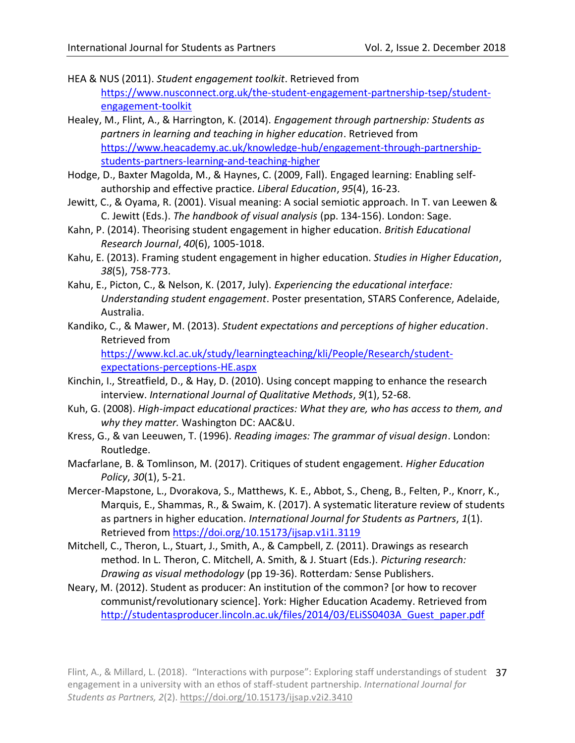- HEA & NUS (2011). *Student engagement toolkit*. Retrieved from [https://www.nusconnect.org.uk/the-student-engagement-partnership-tsep/student](https://www.nusconnect.org.uk/the-student-engagement-partnership-tsep/student-engagement-toolkit)[engagement-toolkit](https://www.nusconnect.org.uk/the-student-engagement-partnership-tsep/student-engagement-toolkit)
- Healey, M., Flint, A., & Harrington, K. (2014). *Engagement through partnership: Students as partners in learning and teaching in higher education*. Retrieved from [https://www.heacademy.ac.uk/knowledge-hub/engagement-through-partnership](https://www.heacademy.ac.uk/knowledge-hub/engagement-through-partnership-students-partners-learning-and-teaching-higher)[students-partners-learning-and-teaching-higher](https://www.heacademy.ac.uk/knowledge-hub/engagement-through-partnership-students-partners-learning-and-teaching-higher)
- Hodge, D., Baxter Magolda, M., & Haynes, C. (2009, Fall). Engaged learning: Enabling selfauthorship and effective practice. *Liberal Education*, *95*(4), 16-23.
- Jewitt, C., & Oyama, R. (2001). Visual meaning: A social semiotic approach. In T. van Leewen & C. Jewitt (Eds.). *The handbook of visual analysis* (pp. 134-156). London: Sage.
- Kahn, P. (2014). Theorising student engagement in higher education. *British Educational Research Journal*, *40*(6), 1005-1018.
- Kahu, E. (2013). Framing student engagement in higher education. *Studies in Higher Education*, *38*(5), 758-773.
- Kahu, E., Picton, C., & Nelson, K. (2017, July). *Experiencing the educational interface: Understanding student engagement*. Poster presentation, STARS Conference, Adelaide, Australia.
- Kandiko, C., & Mawer, M. (2013). *Student expectations and perceptions of higher education*. Retrieved from

[https://www.kcl.ac.uk/study/learningteaching/kli/People/Research/student](https://www.kcl.ac.uk/study/learningteaching/kli/People/Research/student-expectations-perceptions-HE.aspx)[expectations-perceptions-HE.aspx](https://www.kcl.ac.uk/study/learningteaching/kli/People/Research/student-expectations-perceptions-HE.aspx)

- Kinchin, I., Streatfield, D., & Hay, D. (2010). Using concept mapping to enhance the research interview. *International Journal of Qualitative Methods*, *9*(1), 52-68.
- Kuh, G. (2008). *High-impact educational practices: What they are, who has access to them, and why they matter.* Washington DC: AAC&U.
- Kress, G., & van Leeuwen, T. (1996). *Reading images: The grammar of visual design*. London: Routledge.
- Macfarlane, B. & Tomlinson, M. (2017). Critiques of student engagement. *Higher Education Policy*, *30*(1), 5-21.
- Mercer-Mapstone, L., Dvorakova, S., Matthews, K. E., Abbot, S., Cheng, B., Felten, P., Knorr, K., Marquis, E., Shammas, R., & Swaim, K. (2017). A systematic literature review of students as partners in higher education. *International Journal for Students as Partners*, *1*(1). Retrieved fro[m https://doi.org/10.15173/ijsap.v1i1.3119](https://doi.org/10.15173/ijsap.v1i1.3119)
- Mitchell, C., Theron, L., Stuart, J., Smith, A., & Campbell, Z. (2011). Drawings as research method. In L. Theron, C. Mitchell, A. Smith, & J. Stuart (Eds.). *Picturing research: Drawing as visual methodology* (pp 19-36). Rotterdam*:* Sense Publishers.
- Neary, M. (2012). Student as producer: An institution of the common? [or how to recover communist/revolutionary science]. York: Higher Education Academy. Retrieved from [http://studentasproducer.lincoln.ac.uk/files/2014/03/ELiSS0403A\\_Guest\\_paper.pdf](http://studentasproducer.lincoln.ac.uk/files/2014/03/ELiSS0403A_Guest_paper.pdf)

Flint, A., & Millard, L. (2018). "Interactions with purpose": Exploring staff understandings of student 37 engagement in a university with an ethos of staff-student partnership. *International Journal for Students as Partners, 2*(2).<https://doi.org/10.15173/ijsap.v2i2.3410>